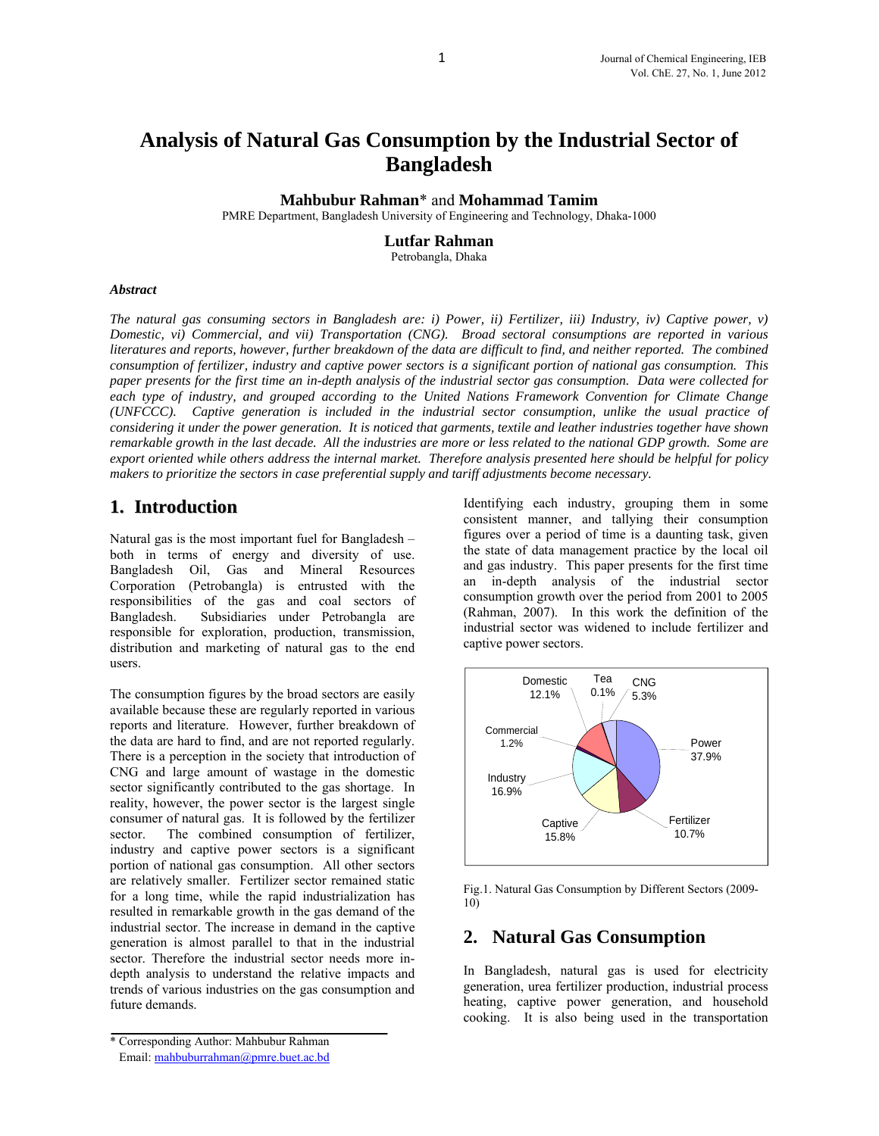# **Analysis of Natural Gas Consumption by the Industrial Sector of Bangladesh**

**Mahbubur Rahman**\* and **Mohammad Tamim** 

PMRE Department, Bangladesh University of Engineering and Technology, Dhaka-1000

#### **Lutfar Rahman**

Petrobangla, Dhaka

#### *Abstract*

*The natural gas consuming sectors in Bangladesh are: i) Power, ii) Fertilizer, iii) Industry, iv) Captive power, v) Domestic, vi) Commercial, and vii) Transportation (CNG). Broad sectoral consumptions are reported in various literatures and reports, however, further breakdown of the data are difficult to find, and neither reported. The combined consumption of fertilizer, industry and captive power sectors is a significant portion of national gas consumption. This paper presents for the first time an in-depth analysis of the industrial sector gas consumption. Data were collected for each type of industry, and grouped according to the United Nations Framework Convention for Climate Change (UNFCCC). Captive generation is included in the industrial sector consumption, unlike the usual practice of considering it under the power generation. It is noticed that garments, textile and leather industries together have shown remarkable growth in the last decade. All the industries are more or less related to the national GDP growth. Some are export oriented while others address the internal market. Therefore analysis presented here should be helpful for policy makers to prioritize the sectors in case preferential supply and tariff adjustments become necessary.* 

#### **1. Introduction**

Natural gas is the most important fuel for Bangladesh – both in terms of energy and diversity of use. Bangladesh Oil, Gas and Mineral Resources Corporation (Petrobangla) is entrusted with the responsibilities of the gas and coal sectors of Bangladesh. Subsidiaries under Petrobangla are responsible for exploration, production, transmission, distribution and marketing of natural gas to the end users.

The consumption figures by the broad sectors are easily available because these are regularly reported in various reports and literature. However, further breakdown of the data are hard to find, and are not reported regularly. There is a perception in the society that introduction of CNG and large amount of wastage in the domestic sector significantly contributed to the gas shortage. In reality, however, the power sector is the largest single consumer of natural gas. It is followed by the fertilizer sector. The combined consumption of fertilizer, industry and captive power sectors is a significant portion of national gas consumption. All other sectors are relatively smaller. Fertilizer sector remained static for a long time, while the rapid industrialization has resulted in remarkable growth in the gas demand of the industrial sector. The increase in demand in the captive generation is almost parallel to that in the industrial sector. Therefore the industrial sector needs more indepth analysis to understand the relative impacts and trends of various industries on the gas consumption and future demands.

Identifying each industry, grouping them in some consistent manner, and tallying their consumption figures over a period of time is a daunting task, given the state of data management practice by the local oil and gas industry. This paper presents for the first time an in-depth analysis of the industrial sector consumption growth over the period from 2001 to 2005 (Rahman, 2007). In this work the definition of the industrial sector was widened to include fertilizer and captive power sectors.



Fig.1. Natural Gas Consumption by Different Sectors (2009- 10)

## **2. Natural Gas Consumption**

In Bangladesh, natural gas is used for electricity generation, urea fertilizer production, industrial process heating, captive power generation, and household cooking. It is also being used in the transportation

<sup>\*</sup> Corresponding Author: Mahbubur Rahman Email: mahbuburrahman@pmre.buet.ac.bd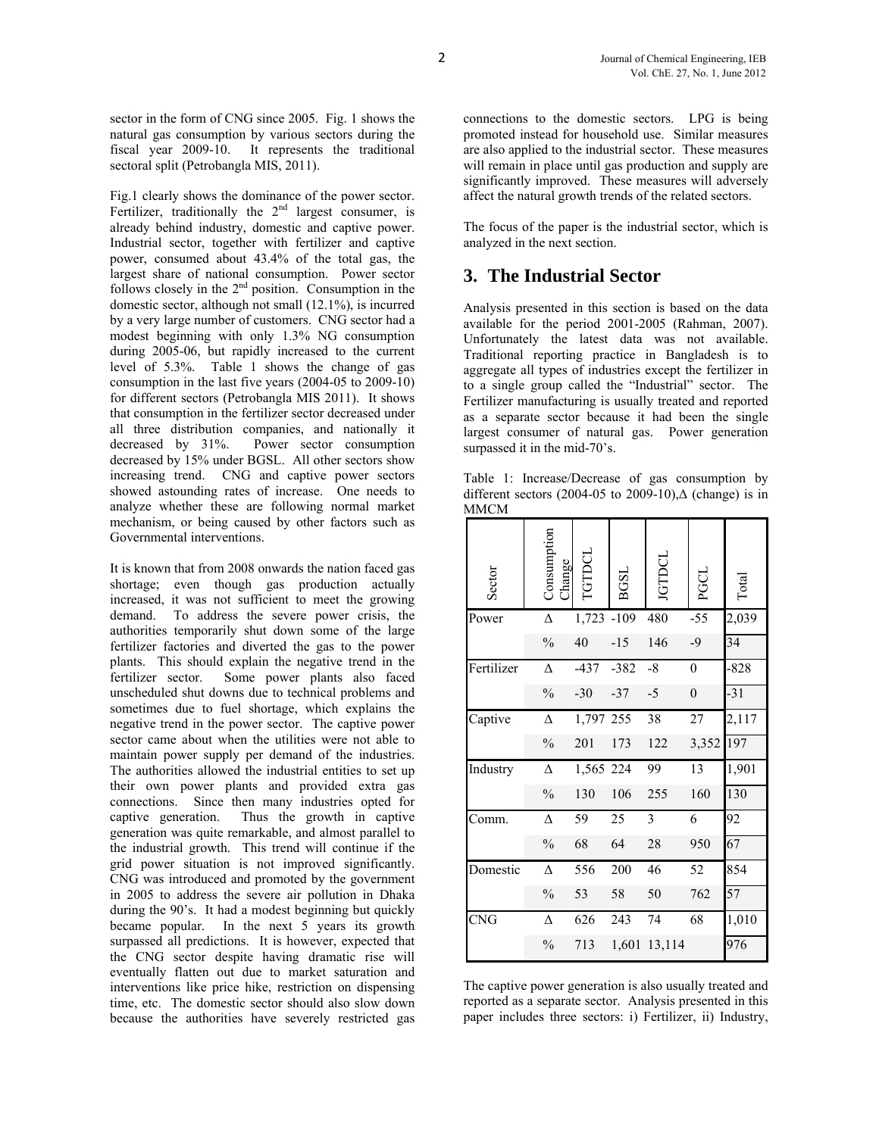sector in the form of CNG since 2005. Fig. 1 shows the natural gas consumption by various sectors during the fiscal year 2009-10. It represents the traditional sectoral split (Petrobangla MIS, 2011).

Fig.1 clearly shows the dominance of the power sector. Fertilizer, traditionally the  $2<sup>nd</sup>$  largest consumer, is already behind industry, domestic and captive power. Industrial sector, together with fertilizer and captive power, consumed about 43.4% of the total gas, the largest share of national consumption. Power sector follows closely in the  $2<sup>nd</sup>$  position. Consumption in the domestic sector, although not small (12.1%), is incurred by a very large number of customers. CNG sector had a modest beginning with only 1.3% NG consumption during 2005-06, but rapidly increased to the current level of 5.3%. Table 1 shows the change of gas consumption in the last five years (2004-05 to 2009-10) for different sectors (Petrobangla MIS 2011). It shows that consumption in the fertilizer sector decreased under all three distribution companies, and nationally it decreased by 31%. Power sector consumption decreased by 15% under BGSL. All other sectors show increasing trend. CNG and captive power sectors showed astounding rates of increase. One needs to analyze whether these are following normal market mechanism, or being caused by other factors such as Governmental interventions.

It is known that from 2008 onwards the nation faced gas shortage; even though gas production actually increased, it was not sufficient to meet the growing demand. To address the severe power crisis, the authorities temporarily shut down some of the large fertilizer factories and diverted the gas to the power plants. This should explain the negative trend in the fertilizer sector. Some power plants also faced unscheduled shut downs due to technical problems and sometimes due to fuel shortage, which explains the negative trend in the power sector. The captive power sector came about when the utilities were not able to maintain power supply per demand of the industries. The authorities allowed the industrial entities to set up their own power plants and provided extra gas connections. Since then many industries opted for captive generation. Thus the growth in captive generation was quite remarkable, and almost parallel to the industrial growth. This trend will continue if the grid power situation is not improved significantly. CNG was introduced and promoted by the government in 2005 to address the severe air pollution in Dhaka during the 90's. It had a modest beginning but quickly became popular. In the next 5 years its growth surpassed all predictions. It is however, expected that the CNG sector despite having dramatic rise will eventually flatten out due to market saturation and interventions like price hike, restriction on dispensing time, etc. The domestic sector should also slow down because the authorities have severely restricted gas

connections to the domestic sectors. LPG is being promoted instead for household use. Similar measures are also applied to the industrial sector. These measures will remain in place until gas production and supply are significantly improved. These measures will adversely affect the natural growth trends of the related sectors.

The focus of the paper is the industrial sector, which is analyzed in the next section.

# **3. The Industrial Sector**

Analysis presented in this section is based on the data available for the period 2001-2005 (Rahman, 2007). Unfortunately the latest data was not available. Traditional reporting practice in Bangladesh is to aggregate all types of industries except the fertilizer in to a single group called the "Industrial" sector. The Fertilizer manufacturing is usually treated and reported as a separate sector because it had been the single largest consumer of natural gas. Power generation surpassed it in the mid-70's.

Table 1: Increase/Decrease of gas consumption by different sectors (2004-05 to 2009-10), $\Delta$  (change) is in **MMCM** 

| Sector           | Consumption<br>Change | rgmpci     | <b>BGSL</b> | ICIDCI | PGCL             | Total  |
|------------------|-----------------------|------------|-------------|--------|------------------|--------|
| Power            | Δ                     | 1,723 -109 |             | 480    | $-55$            | 2,039  |
|                  | $\frac{0}{0}$         | 40         | $-15$       | 146    | $-9$             | 34     |
| Fertilizer       | Δ                     | $-437$     | $-382$      | $-8$   | $\boldsymbol{0}$ | $-828$ |
|                  | $\frac{0}{0}$         | $-30$      | $-37$       | $-5$   | $\mathbf{0}$     | $-31$  |
| Captive          | $\Delta$              | 1,797 255  |             | 38     | 27               | 2,117  |
|                  | $\frac{0}{0}$         | 201        | 173         | 122    | 3,352            | 197    |
| Industry         | Δ                     | 1,565 224  |             | 99     | 13               | 1,901  |
|                  | $\frac{0}{0}$         | 130        | 106         | 255    | 160              | 130    |
| Comm.            | Δ                     | 59         | 25          | 3      | 6                | 92     |
|                  | $\frac{0}{0}$         | 68         | 64          | 28     | 950              | 67     |
| Domestic         | Δ                     | 556        | 200         | 46     | 52               | 854    |
|                  | $\frac{0}{0}$         | 53         | 58          | 50     | 762              | 57     |
| $CN\overline{G}$ | Δ                     | 626        | 243         | 74     | 68               | 1,010  |
|                  | $\frac{0}{0}$         | 713        | 1,601       | 13,114 |                  | 976    |

The captive power generation is also usually treated and reported as a separate sector. Analysis presented in this paper includes three sectors: i) Fertilizer, ii) Industry,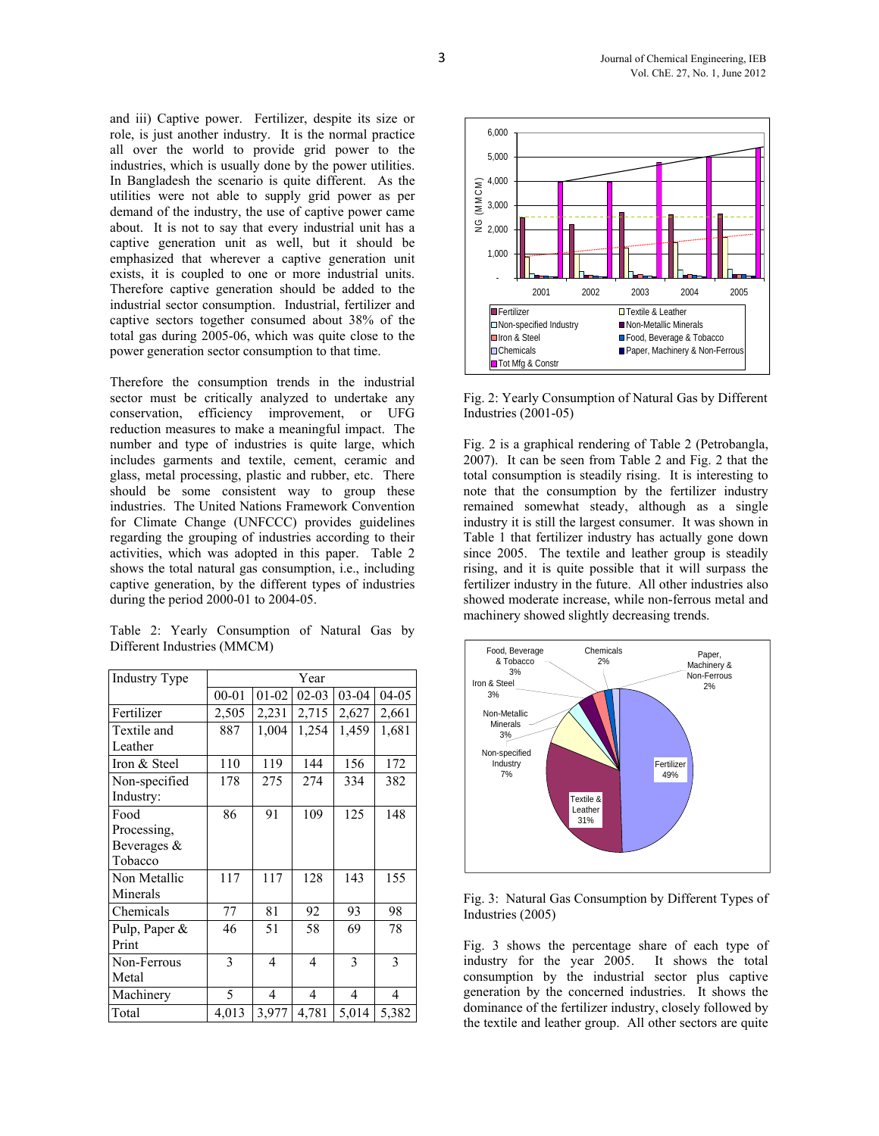and iii) Captive power. Fertilizer, despite its size or role, is just another industry. It is the normal practice all over the world to provide grid power to the industries, which is usually done by the power utilities. In Bangladesh the scenario is quite different. As the utilities were not able to supply grid power as per demand of the industry, the use of captive power came about. It is not to say that every industrial unit has a captive generation unit as well, but it should be emphasized that wherever a captive generation unit exists, it is coupled to one or more industrial units. Therefore captive generation should be added to the industrial sector consumption. Industrial, fertilizer and captive sectors together consumed about 38% of the total gas during 2005-06, which was quite close to the power generation sector consumption to that time.

Therefore the consumption trends in the industrial sector must be critically analyzed to undertake any conservation, efficiency improvement, or UFG reduction measures to make a meaningful impact. The number and type of industries is quite large, which includes garments and textile, cement, ceramic and glass, metal processing, plastic and rubber, etc. There should be some consistent way to group these industries. The United Nations Framework Convention for Climate Change (UNFCCC) provides guidelines regarding the grouping of industries according to their activities, which was adopted in this paper. Table 2 shows the total natural gas consumption, i.e., including captive generation, by the different types of industries during the period 2000-01 to 2004-05.

Table 2: Yearly Consumption of Natural Gas by Different Industries (MMCM)

| <b>Industry Type</b> | Year      |                |                |                |                |
|----------------------|-----------|----------------|----------------|----------------|----------------|
|                      | $00 - 01$ | 01-02          | $02-03$        | $03 - 04$      | $04 - 05$      |
| Fertilizer           | 2,505     | 2,231          | 2,715          | 2,627          | 2,661          |
| Textile and          | 887       | 1,004          | 1,254          | 1,459          | 1,681          |
| Leather              |           |                |                |                |                |
| Iron & Steel         | 110       | 119            | 144            | 156            | 172            |
| Non-specified        | 178       | 275            | 274            | 334            | 382            |
| Industry:            |           |                |                |                |                |
| Food                 | 86        | 91             | 109            | 125            | 148            |
| Processing,          |           |                |                |                |                |
| Beverages &          |           |                |                |                |                |
| Tobacco              |           |                |                |                |                |
| Non Metallic         | 117       | 117            | 128            | 143            | 155            |
| Minerals             |           |                |                |                |                |
| Chemicals            | 77        | 81             | 92             | 93             | 98             |
| Pulp, Paper &        | 46        | 51             | 58             | 69             | 78             |
| Print                |           |                |                |                |                |
| Non-Ferrous          | 3         | 4              | $\overline{4}$ | 3              | 3              |
| Metal                |           |                |                |                |                |
| Machinery            | 5         | $\overline{4}$ | $\overline{4}$ | $\overline{4}$ | $\overline{4}$ |
| Total                | 4,013     | 3,977          | 4,781          | 5,014          | 5,382          |



Fig. 2: Yearly Consumption of Natural Gas by Different Industries (2001-05)

Fig. 2 is a graphical rendering of Table 2 (Petrobangla, 2007). It can be seen from Table 2 and Fig. 2 that the total consumption is steadily rising. It is interesting to note that the consumption by the fertilizer industry remained somewhat steady, although as a single industry it is still the largest consumer. It was shown in Table 1 that fertilizer industry has actually gone down since 2005. The textile and leather group is steadily rising, and it is quite possible that it will surpass the fertilizer industry in the future. All other industries also showed moderate increase, while non-ferrous metal and machinery showed slightly decreasing trends.



Fig. 3: Natural Gas Consumption by Different Types of Industries (2005)

Fig. 3 shows the percentage share of each type of industry for the year 2005. It shows the total consumption by the industrial sector plus captive generation by the concerned industries. It shows the dominance of the fertilizer industry, closely followed by the textile and leather group. All other sectors are quite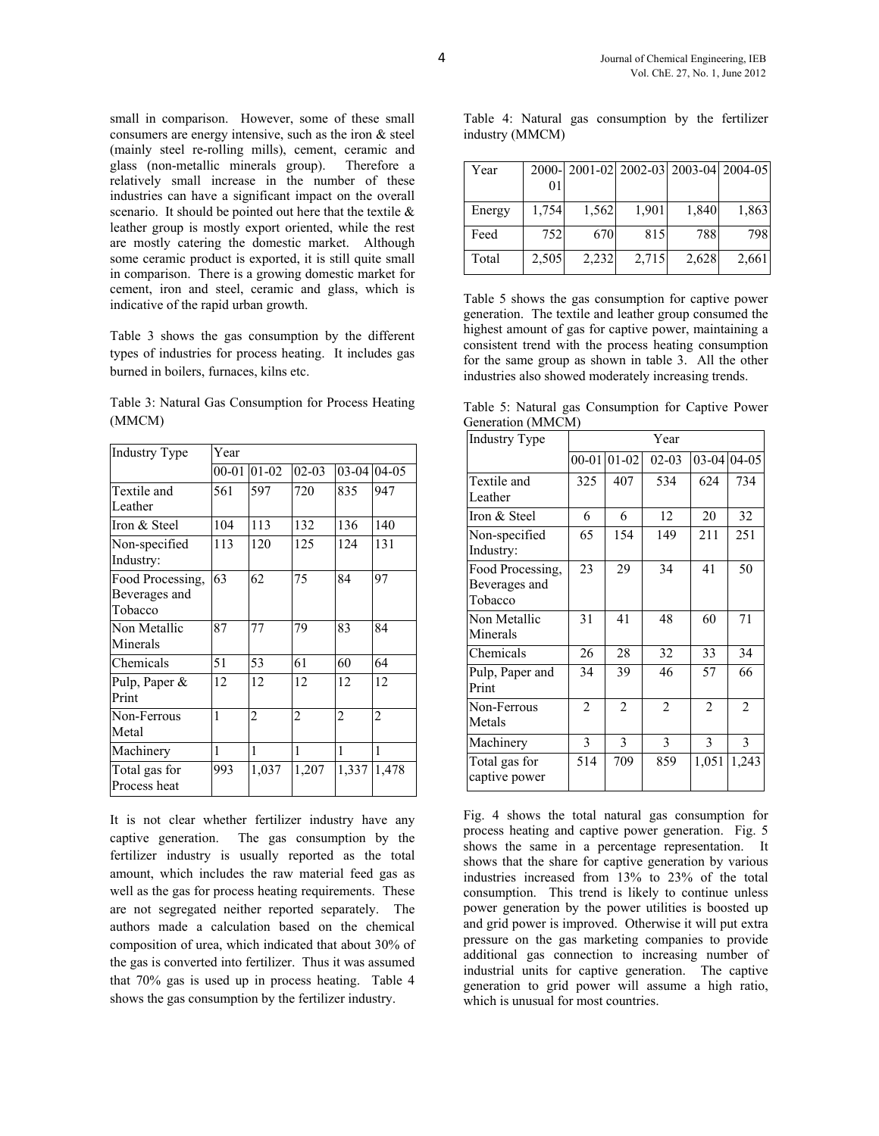small in comparison. However, some of these small consumers are energy intensive, such as the iron & steel (mainly steel re-rolling mills), cement, ceramic and glass (non-metallic minerals group). Therefore a relatively small increase in the number of these industries can have a significant impact on the overall scenario. It should be pointed out here that the textile  $\&$ leather group is mostly export oriented, while the rest are mostly catering the domestic market. Although some ceramic product is exported, it is still quite small in comparison. There is a growing domestic market for cement, iron and steel, ceramic and glass, which is indicative of the rapid urban growth.

Table 3 shows the gas consumption by the different types of industries for process heating. It includes gas burned in boilers, furnaces, kilns etc.

Table 3: Natural Gas Consumption for Process Heating (MMCM)

| <b>Industry Type</b>                         | Year      |                |                |                |                |  |
|----------------------------------------------|-----------|----------------|----------------|----------------|----------------|--|
|                                              | $00 - 01$ | $01 - 02$      | $02 - 03$      | 03-04 04-05    |                |  |
| Textile and<br>Leather                       | 561       | 597            | 720            | 835            | 947            |  |
| Iron & Steel                                 | 104       | 113            | 132            | 136            | 140            |  |
| Non-specified<br>Industry:                   | 113       | 120            | 125            | 124            | 131            |  |
| Food Processing,<br>Beverages and<br>Tobacco | 63        | 62             | 75             | 84             | 97             |  |
| Non Metallic<br>Minerals                     | 87        | 77             | 79             | 83             | 84             |  |
| Chemicals                                    | 51        | 53             | 61             | 60             | 64             |  |
| Pulp, Paper $\&$<br>Print                    | 12        | 12             | 12             | 12             | 12             |  |
| Non-Ferrous<br>Metal                         | 1         | $\overline{c}$ | $\overline{c}$ | $\overline{2}$ | $\overline{c}$ |  |
| Machinery                                    | 1         | 1              | 1              | 1              | 1              |  |
| Total gas for<br>Process heat                | 993       | 1,037          | 1,207          | 1,337          | 1,478          |  |

It is not clear whether fertilizer industry have any captive generation. The gas consumption by the fertilizer industry is usually reported as the total amount, which includes the raw material feed gas as well as the gas for process heating requirements. These are not segregated neither reported separately. The authors made a calculation based on the chemical composition of urea, which indicated that about 30% of the gas is converted into fertilizer. Thus it was assumed that 70% gas is used up in process heating. Table 4 shows the gas consumption by the fertilizer industry.

Table 4: Natural gas consumption by the fertilizer industry (MMCM)

| Year   |       |       |       |       | 2000-2001-02 2002-03 2003-04 2004-05 |
|--------|-------|-------|-------|-------|--------------------------------------|
|        | 01    |       |       |       |                                      |
| Energy | 1,754 | 1,562 | 1,901 | 1,840 | 1,863                                |
| Feed   | 752   | 670   | 815   | 788   | 798                                  |
| Total  | 2,505 | 2,232 | 2.715 | 2,628 | 2,661                                |

Table 5 shows the gas consumption for captive power generation. The textile and leather group consumed the highest amount of gas for captive power, maintaining a consistent trend with the process heating consumption for the same group as shown in table 3. All the other industries also showed moderately increasing trends.

Table 5: Natural gas Consumption for Captive Power Generation (MMCM)

| <b>Industry Type</b>                         | Year           |                |                |                |                |  |
|----------------------------------------------|----------------|----------------|----------------|----------------|----------------|--|
|                                              | $00 - 01$      | $01 - 02$      | $02 - 03$      |                | 03-04 04-05    |  |
| Textile and<br>Leather                       | 325            | 407            | 534            | 624            | 734            |  |
| Iron & Steel                                 | 6              | 6              | 12             | 20             | 32             |  |
| Non-specified<br>Industry:                   | 65             | 154            | 149            | 211            | 251            |  |
| Food Processing,<br>Beverages and<br>Tobacco | 23             | 29             | 34             | 41             | 50             |  |
| Non Metallic<br>Minerals                     | 31             | 41             | 48             | 60             | 71             |  |
| Chemicals                                    | 26             | 28             | 32             | 33             | 34             |  |
| Pulp, Paper and<br>Print                     | 34             | 39             | 46             | 57             | 66             |  |
| Non-Ferrous<br>Metals                        | $\overline{2}$ | $\overline{2}$ | $\overline{2}$ | $\overline{2}$ | $\overline{2}$ |  |
| Machinery                                    | 3              | 3              | 3              | 3              | 3              |  |
| Total gas for<br>captive power               | 514            | 709            | 859            | 1,051          | 1,243          |  |

Fig. 4 shows the total natural gas consumption for process heating and captive power generation. Fig. 5 shows the same in a percentage representation. It shows that the share for captive generation by various industries increased from 13% to 23% of the total consumption. This trend is likely to continue unless power generation by the power utilities is boosted up and grid power is improved. Otherwise it will put extra pressure on the gas marketing companies to provide additional gas connection to increasing number of industrial units for captive generation. The captive generation to grid power will assume a high ratio, which is unusual for most countries.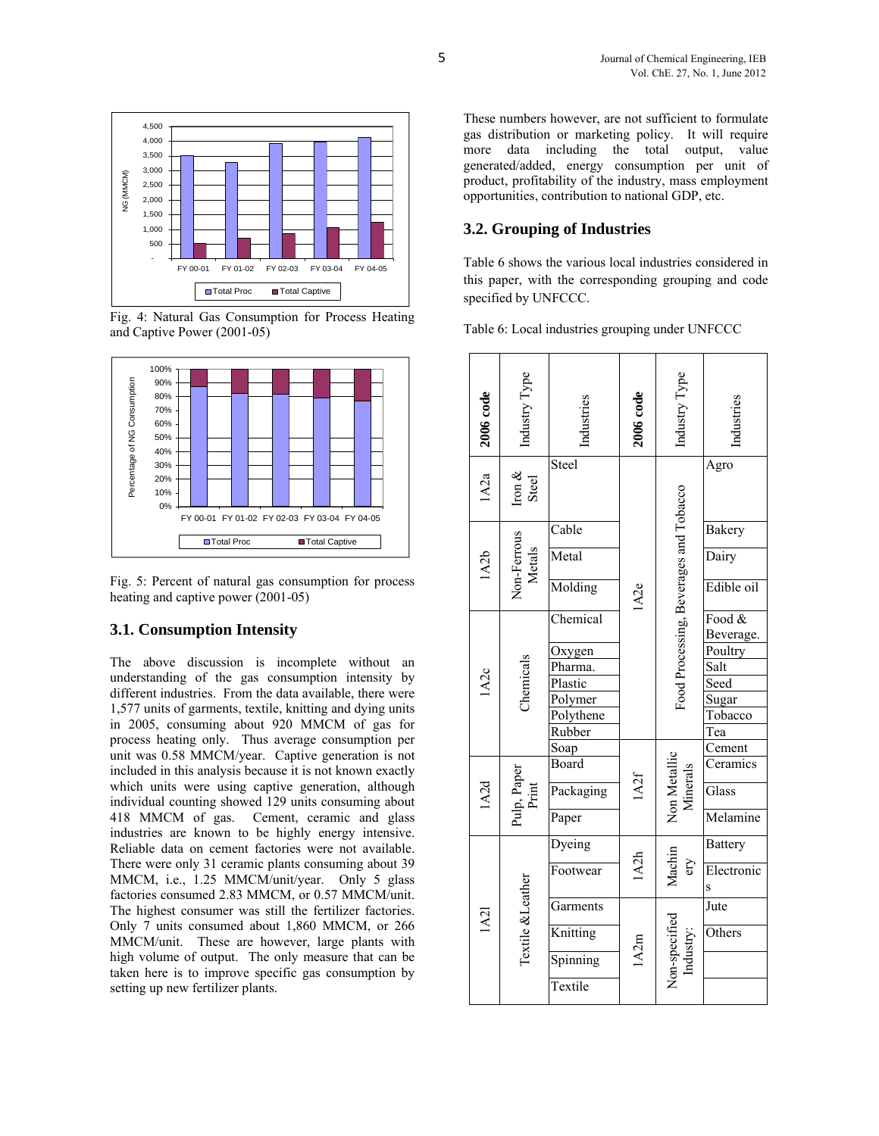

Fig. 4: Natural Gas Consumption for Process Heating and Captive Power (2001-05)





#### **3.1. Consumption Intensity**

The above discussion is incomplete without an understanding of the gas consumption intensity by different industries. From the data available, there were 1,577 units of garments, textile, knitting and dying units in 2005, consuming about 920 MMCM of gas for process heating only. Thus average consumption per unit was 0.58 MMCM/year. Captive generation is not included in this analysis because it is not known exactly which units were using captive generation, although individual counting showed 129 units consuming about 418 MMCM of gas. Cement, ceramic and glass industries are known to be highly energy intensive. Reliable data on cement factories were not available. There were only 31 ceramic plants consuming about 39 MMCM, i.e., 1.25 MMCM/unit/year. Only 5 glass factories consumed 2.83 MMCM, or 0.57 MMCM/unit. The highest consumer was still the fertilizer factories. Only 7 units consumed about 1,860 MMCM, or 266 MMCM/unit. These are however, large plants with high volume of output. The only measure that can be taken here is to improve specific gas consumption by setting up new fertilizer plants.

These numbers however, are not sufficient to formulate gas distribution or marketing policy. It will require more data including the total output, value generated/added, energy consumption per unit of product, profitability of the industry, mass employment opportunities, contribution to national GDP, etc.

#### **3.2. Grouping of Industries**

Table 6 shows the various local industries considered in this paper, with the corresponding grouping and code specified by UNFCCC.

Table 6: Local industries grouping under UNFCCC

| $2006$ code | Industry Type                 | Industries                                                                 | $2006$ code      | Industry Type                          | Industries                                                                |
|-------------|-------------------------------|----------------------------------------------------------------------------|------------------|----------------------------------------|---------------------------------------------------------------------------|
| 1A2a        | Iron $&$<br>Steel             | Steel                                                                      |                  |                                        | Agro                                                                      |
|             |                               | Cable<br>Metal                                                             |                  |                                        | Bakery<br>Dairy                                                           |
|             | Non-Ferrous<br>Metals<br>1A2b | Molding                                                                    | 1A <sub>2e</sub> |                                        | Edible oil                                                                |
| 1A2c        | Chemicals                     | Chemical<br>Oxygen<br>Pharma.<br>Plastic<br>Polymer<br>Polythene<br>Rubber |                  | Food Processing, Beverages and Tobacco | Food &<br>Beverage.<br>Poultry<br>Salt<br>Seed<br>Sugar<br>Tobacco<br>Tea |
| IA2d        | Pulp, Paper<br>Print          | Soap<br>Board<br>Packaging<br>Paper                                        | 1A2f             | Non Metallic<br>Minerals               | Cement<br>Ceramics<br>Glass<br>Melamine                                   |
|             |                               | Dyeing<br>Footwear                                                         | 1A2h             | Machin<br>ery                          | <b>Battery</b><br>Electronic<br>$\overline{\mathbf{s}}$                   |
| 1A21        | Textile & Leather             | Garments<br>Knitting<br>Spinning<br>Textile                                | 1A2m             | Non-specified<br>Industry:             | Jute<br>Others                                                            |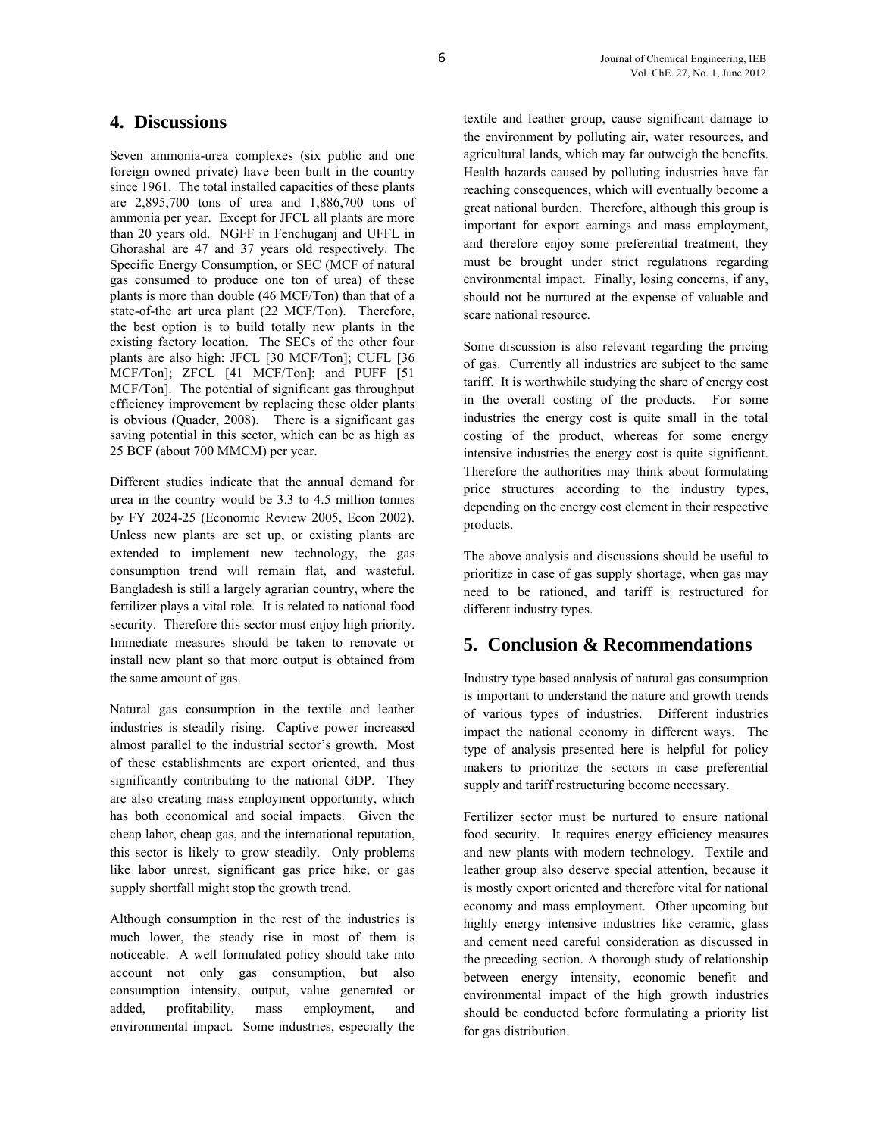# **4. Discussions**

Seven ammonia-urea complexes (six public and one foreign owned private) have been built in the country since 1961. The total installed capacities of these plants are 2,895,700 tons of urea and 1,886,700 tons of ammonia per year. Except for JFCL all plants are more than 20 years old. NGFF in Fenchuganj and UFFL in Ghorashal are 47 and 37 years old respectively. The Specific Energy Consumption, or SEC (MCF of natural gas consumed to produce one ton of urea) of these plants is more than double (46 MCF/Ton) than that of a state-of-the art urea plant (22 MCF/Ton). Therefore, the best option is to build totally new plants in the existing factory location. The SECs of the other four plants are also high: JFCL [30 MCF/Ton]; CUFL [36 MCF/Ton]; ZFCL [41 MCF/Ton]; and PUFF [51 MCF/Ton]. The potential of significant gas throughput efficiency improvement by replacing these older plants is obvious (Quader, 2008). There is a significant gas saving potential in this sector, which can be as high as 25 BCF (about 700 MMCM) per year.

Different studies indicate that the annual demand for urea in the country would be 3.3 to 4.5 million tonnes by FY 2024-25 (Economic Review 2005, Econ 2002). Unless new plants are set up, or existing plants are extended to implement new technology, the gas consumption trend will remain flat, and wasteful. Bangladesh is still a largely agrarian country, where the fertilizer plays a vital role. It is related to national food security. Therefore this sector must enjoy high priority. Immediate measures should be taken to renovate or install new plant so that more output is obtained from the same amount of gas.

Natural gas consumption in the textile and leather industries is steadily rising. Captive power increased almost parallel to the industrial sector's growth. Most of these establishments are export oriented, and thus significantly contributing to the national GDP. They are also creating mass employment opportunity, which has both economical and social impacts. Given the cheap labor, cheap gas, and the international reputation, this sector is likely to grow steadily. Only problems like labor unrest, significant gas price hike, or gas supply shortfall might stop the growth trend.

Although consumption in the rest of the industries is much lower, the steady rise in most of them is noticeable. A well formulated policy should take into account not only gas consumption, but also consumption intensity, output, value generated or added, profitability, mass employment, and environmental impact. Some industries, especially the

textile and leather group, cause significant damage to the environment by polluting air, water resources, and agricultural lands, which may far outweigh the benefits. Health hazards caused by polluting industries have far reaching consequences, which will eventually become a great national burden. Therefore, although this group is important for export earnings and mass employment, and therefore enjoy some preferential treatment, they must be brought under strict regulations regarding environmental impact. Finally, losing concerns, if any, should not be nurtured at the expense of valuable and scare national resource.

Some discussion is also relevant regarding the pricing of gas. Currently all industries are subject to the same tariff. It is worthwhile studying the share of energy cost in the overall costing of the products. For some industries the energy cost is quite small in the total costing of the product, whereas for some energy intensive industries the energy cost is quite significant. Therefore the authorities may think about formulating price structures according to the industry types, depending on the energy cost element in their respective products.

The above analysis and discussions should be useful to prioritize in case of gas supply shortage, when gas may need to be rationed, and tariff is restructured for different industry types.

# **5. Conclusion & Recommendations**

Industry type based analysis of natural gas consumption is important to understand the nature and growth trends of various types of industries. Different industries impact the national economy in different ways. The type of analysis presented here is helpful for policy makers to prioritize the sectors in case preferential supply and tariff restructuring become necessary.

Fertilizer sector must be nurtured to ensure national food security. It requires energy efficiency measures and new plants with modern technology. Textile and leather group also deserve special attention, because it is mostly export oriented and therefore vital for national economy and mass employment. Other upcoming but highly energy intensive industries like ceramic, glass and cement need careful consideration as discussed in the preceding section. A thorough study of relationship between energy intensity, economic benefit and environmental impact of the high growth industries should be conducted before formulating a priority list for gas distribution.